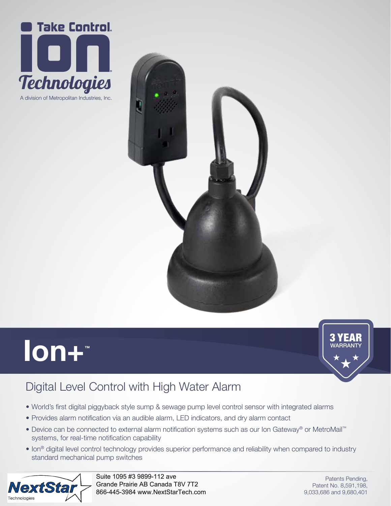



# **Ion+**



## Digital Level Control with High Water Alarm

- World's first digital piggyback style sump & sewage pump level control sensor with integrated alarms
- Provides alarm notification via an audible alarm, LED indicators, and dry alarm contact
- Device can be connected to external alarm notification systems such as our Ion Gateway® or MetroMail™ systems, for real-time notification capability
- Ion® digital level control technology provides superior performance and reliability when compared to industry standard mechanical pump switches



Suite 1095 #3 9899-112 ave Grande Prairie AB Canada T8V 7T2 866-445-3984 www.NextStarTech.com

Patents Pending, Patent No. 8,591,198, 9,033,686 and 9,680,401